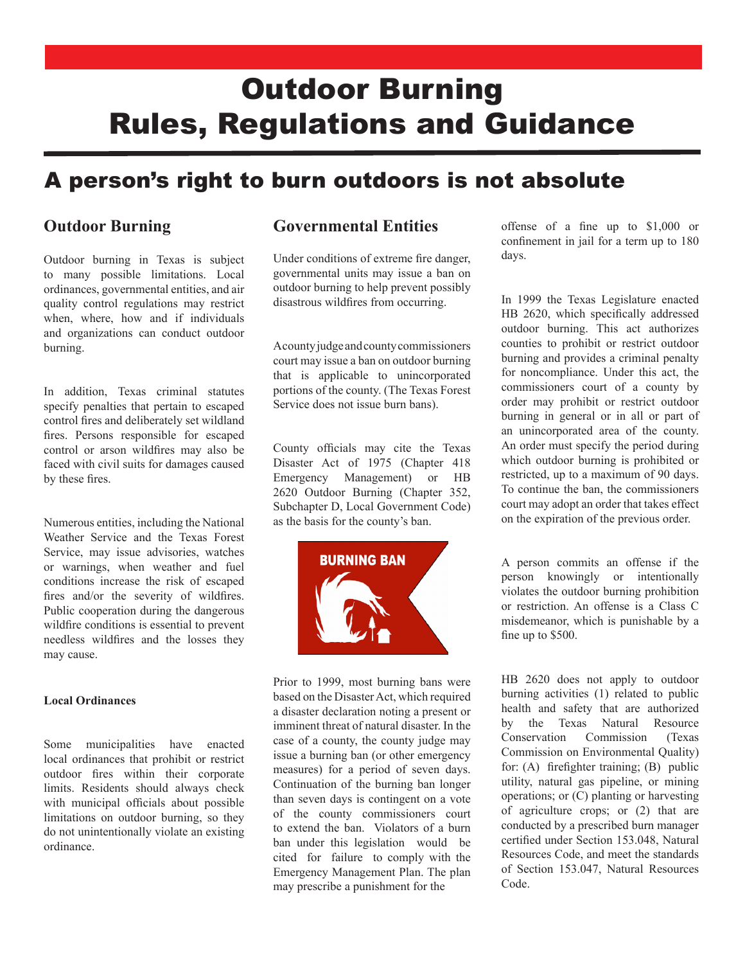# Outdoor Burning Rules, Regulations and Guidance

# A person's right to burn outdoors is not absolute

### **Outdoor Burning**

Outdoor burning in Texas is subject to many possible limitations. Local ordinances, governmental entities, and air quality control regulations may restrict when, where, how and if individuals and organizations can conduct outdoor burning.

In addition, Texas criminal statutes specify penalties that pertain to escaped control fires and deliberately set wildland fires. Persons responsible for escaped control or arson wildfires may also be faced with civil suits for damages caused by these fires.

Numerous entities, including the National Weather Service and the Texas Forest Service, may issue advisories, watches or warnings, when weather and fuel conditions increase the risk of escaped fires and/or the severity of wildfires. Public cooperation during the dangerous wildfire conditions is essential to prevent needless wildfires and the losses they may cause.

#### **Local Ordinances**

Some municipalities have enacted local ordinances that prohibit or restrict outdoor fires within their corporate limits. Residents should always check with municipal officials about possible limitations on outdoor burning, so they do not unintentionally violate an existing ordinance.

### **Governmental Entities**

Under conditions of extreme fire danger, governmental units may issue a ban on outdoor burning to help prevent possibly disastrous wildfires from occurring.

A county judge and county commissioners court may issue a ban on outdoor burning that is applicable to unincorporated portions of the county. (The Texas Forest Service does not issue burn bans).

County officials may cite the Texas Disaster Act of 1975 (Chapter 418 Emergency Management) or HB 2620 Outdoor Burning (Chapter 352, Subchapter D, Local Government Code) as the basis for the county's ban.



Prior to 1999, most burning bans were based on the Disaster Act, which required a disaster declaration noting a present or imminent threat of natural disaster. In the case of a county, the county judge may issue a burning ban (or other emergency measures) for a period of seven days. Continuation of the burning ban longer than seven days is contingent on a vote of the county commissioners court to extend the ban. Violators of a burn ban under this legislation would be cited for failure to comply with the Emergency Management Plan. The plan may prescribe a punishment for the

offense of a fine up to \$1,000 or confinement in jail for a term up to 180 days.

In 1999 the Texas Legislature enacted HB 2620, which specifically addressed outdoor burning. This act authorizes counties to prohibit or restrict outdoor burning and provides a criminal penalty for noncompliance. Under this act, the commissioners court of a county by order may prohibit or restrict outdoor burning in general or in all or part of an unincorporated area of the county. An order must specify the period during which outdoor burning is prohibited or restricted, up to a maximum of 90 days. To continue the ban, the commissioners court may adopt an order that takes effect on the expiration of the previous order.

A person commits an offense if the person knowingly or intentionally violates the outdoor burning prohibition or restriction. An offense is a Class C misdemeanor, which is punishable by a fine up to \$500.

HB 2620 does not apply to outdoor burning activities (1) related to public health and safety that are authorized by the Texas Natural Resource Conservation Commission (Texas Commission on Environmental Quality) for: (A) firefighter training; (B) public utility, natural gas pipeline, or mining operations; or (C) planting or harvesting of agriculture crops; or (2) that are conducted by a prescribed burn manager certified under Section 153.048, Natural Resources Code, and meet the standards of Section 153.047, Natural Resources Code.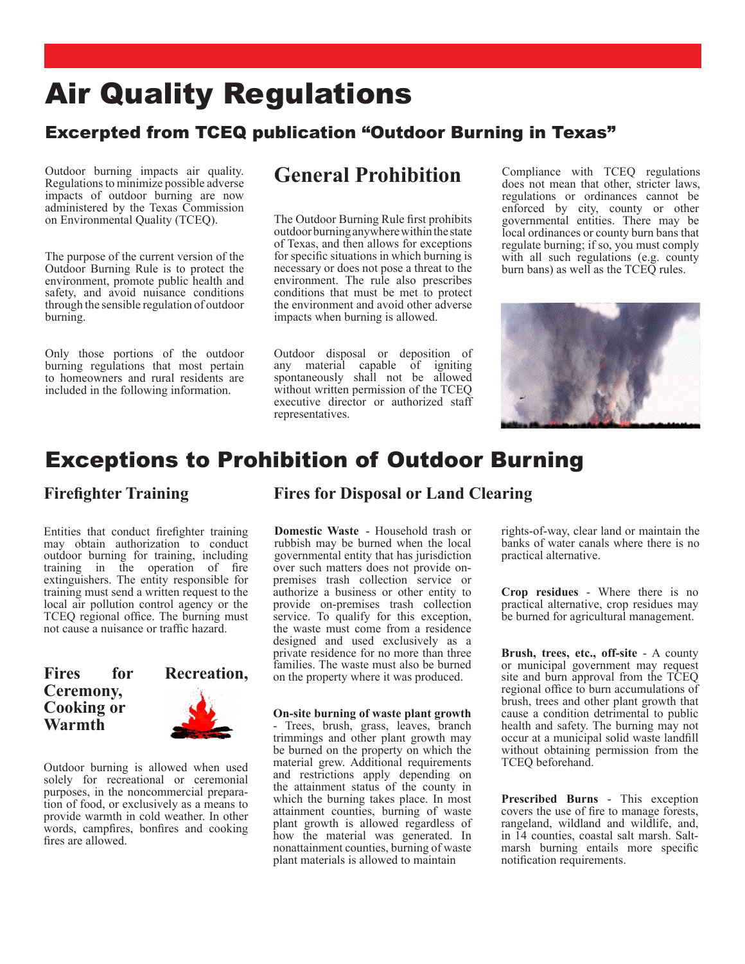# Air Quality Regulations

### Excerpted from TCEQ publication "Outdoor Burning in Texas"

Outdoor burning impacts air quality. Regulations to minimize possible adverse impacts of outdoor burning are now administered by the Texas Commission on Environmental Quality (TCEQ).

The purpose of the current version of the Outdoor Burning Rule is to protect the environment, promote public health and safety, and avoid nuisance conditions through the sensible regulation of outdoor burning.

Only those portions of the outdoor burning regulations that most pertain to homeowners and rural residents are included in the following information.

## **General Prohibition**

The Outdoor Burning Rule first prohibits outdoor burning anywhere within the state of Texas, and then allows for exceptions for specific situations in which burning is necessary or does not pose a threat to the environment. The rule also prescribes conditions that must be met to protect the environment and avoid other adverse impacts when burning is allowed.

Outdoor disposal or deposition of any material capable of igniting spontaneously shall not be allowed without written permission of the TCEQ executive director or authorized staff representatives.

Compliance with TCEQ regulations does not mean that other, stricter laws, regulations or ordinances cannot be enforced by city, county or other governmental entities. There may be local ordinances or county burn bans that regulate burning; if so, you must comply with all such regulations (e.g. county burn bans) as well as the TCEQ rules.



## Exceptions to Prohibition of Outdoor Burning

### **Firefighter Training**

Entities that conduct firefighter training may obtain authorization to conduct outdoor burning for training, including training in the operation of fire extinguishers. The entity responsible for training must send a written request to the local air pollution control agency or the TCEQ regional office. The burning must not cause a nuisance or traffic hazard.

### **Fires for Recreation, Ceremony, Cooking or Warmth**

Outdoor burning is allowed when used solely for recreational or ceremonial purposes, in the noncommercial preparation of food, or exclusively as a means to provide warmth in cold weather. In other words, campfires, bonfires and cooking fires are allowed.

### **Fires for Disposal or Land Clearing**

**Domestic Waste** - Household trash or rubbish may be burned when the local governmental entity that has jurisdiction over such matters does not provide onpremises trash collection service or authorize a business or other entity to provide on-premises trash collection service. To qualify for this exception, the waste must come from a residence designed and used exclusively as a private residence for no more than three families. The waste must also be burned on the property where it was produced.

#### **On-site burning of waste plant growth**

- Trees, brush, grass, leaves, branch trimmings and other plant growth may be burned on the property on which the material grew. Additional requirements and restrictions apply depending on the attainment status of the county in which the burning takes place. In most attainment counties, burning of waste plant growth is allowed regardless of how the material was generated. In nonattainment counties, burning of waste plant materials is allowed to maintain

rights-of-way, clear land or maintain the banks of water canals where there is no practical alternative.

**Crop residues** - Where there is no practical alternative, crop residues may be burned for agricultural management.

**Brush, trees, etc., off-site** - A county or municipal government may request site and burn approval from the TCEQ regional office to burn accumulations of brush, trees and other plant growth that cause a condition detrimental to public health and safety. The burning may not occur at a municipal solid waste landfill without obtaining permission from the TCEQ beforehand.

**Prescribed Burns** - This exception covers the use of fire to manage forests, rangeland, wildland and wildlife, and, in 14 counties, coastal salt marsh. Saltmarsh burning entails more specific notification requirements.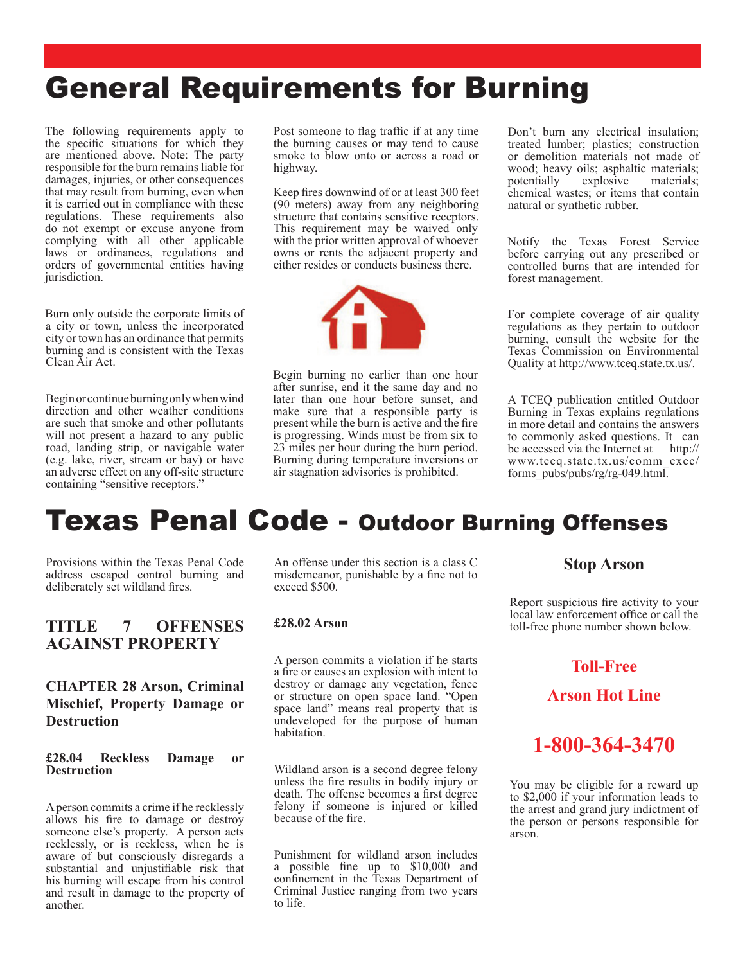# General Requirements for Burning

The following requirements apply to the specific situations for which they are mentioned above. Note: The party responsible for the burn remains liable for damages, injuries, or other consequences that may result from burning, even when it is carried out in compliance with these regulations. These requirements also do not exempt or excuse anyone from complying with all other applicable laws or ordinances, regulations and orders of governmental entities having jurisdiction.

Burn only outside the corporate limits of a city or town, unless the incorporated city or town has an ordinance that permits burning and is consistent with the Texas Clean Air Act.

Begin or continue burning only when wind direction and other weather conditions are such that smoke and other pollutants will not present a hazard to any public road, landing strip, or navigable water (e.g. lake, river, stream or bay) or have an adverse effect on any off-site structure containing "sensitive receptors."

Post someone to flag traffic if at any time the burning causes or may tend to cause smoke to blow onto or across a road or highway.

Keep fires downwind of or at least 300 feet (90 meters) away from any neighboring structure that contains sensitive receptors. This requirement may be waived only with the prior written approval of whoever owns or rents the adjacent property and either resides or conducts business there.



Begin burning no earlier than one hour after sunrise, end it the same day and no later than one hour before sunset, and make sure that a responsible party is present while the burn is active and the fire is progressing. Winds must be from six to 23 miles per hour during the burn period. Burning during temperature inversions or air stagnation advisories is prohibited.

Don't burn any electrical insulation; treated lumber; plastics; construction or demolition materials not made of wood; heavy oils; asphaltic materials; potentially explosive materials; potentially chemical wastes; or items that contain natural or synthetic rubber.

Notify the Texas Forest Service before carrying out any prescribed or controlled burns that are intended for forest management.

For complete coverage of air quality regulations as they pertain to outdoor burning, consult the website for the Texas Commission on Environmental Quality at http://www.tceq.state.tx.us/.

A TCEQ publication entitled Outdoor Burning in Texas explains regulations in more detail and contains the answers to commonly asked questions. It can be accessed via the Internet at http:// www.tceq.state.tx.us/comm\_exec/ forms\_pubs/pubs/rg/rg-049.html.

# Texas Penal Code - Outdoor Burning Offenses

Provisions within the Texas Penal Code address escaped control burning and deliberately set wildland fires.

### **TITLE 7 OFFENSES AGAINST PROPERTY**

### **CHAPTER 28 Arson, Criminal Mischief, Property Damage or Destruction**

#### **£28.04 Reckless Damage or Destruction**

A person commits a crime if he recklessly allows his fire to damage or destroy someone else's property. A person acts recklessly, or is reckless, when he is aware of but consciously disregards a substantial and unjustifiable risk that his burning will escape from his control and result in damage to the property of another.

An offense under this section is a class C misdemeanor, punishable by a fine not to exceed \$500.

#### **£28.02 Arson**

A person commits a violation if he starts a fire or causes an explosion with intent to destroy or damage any vegetation, fence or structure on open space land. "Open space land" means real property that is undeveloped for the purpose of human habitation.

Wildland arson is a second degree felony unless the fire results in bodily injury or death. The offense becomes a first degree felony if someone is injured or killed because of the fire.

Punishment for wildland arson includes a possible fine up to \$10,000 and confinement in the Texas Department of Criminal Justice ranging from two years to life.

#### **Stop Arson**

Report suspicious fire activity to your local law enforcement office or call the toll-free phone number shown below.

### **Toll-Free**

**Arson Hot Line**



You may be eligible for a reward up to \$2,000 if your information leads to the arrest and grand jury indictment of the person or persons responsible for arson.